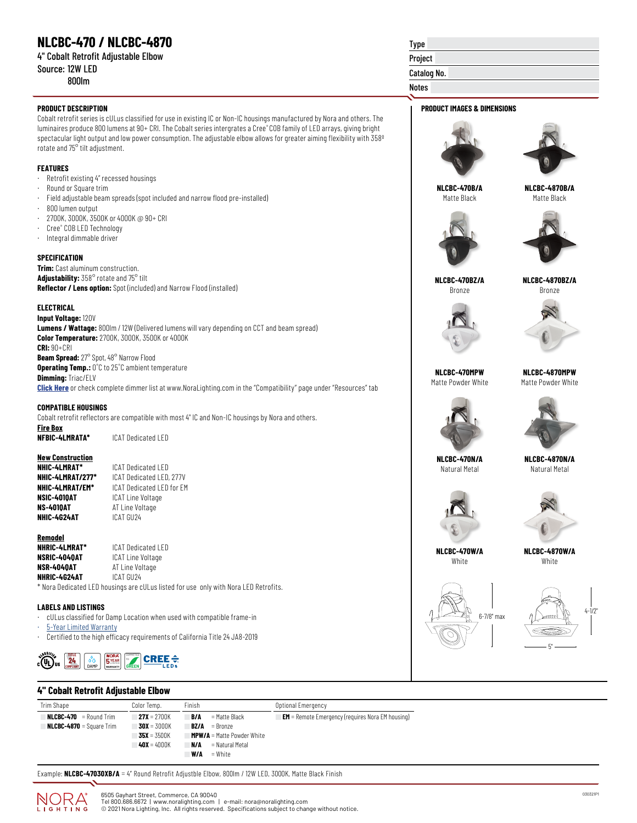# **NLCBC-470 / NLCBC-4870**

|  |                 | 4" Cobalt Retrofit Adjustable Elbow |  |
|--|-----------------|-------------------------------------|--|
|  | Source: 12W LED |                                     |  |

800lm

#### **PRODUCT DESCRIPTION PRODUCT IMAGES & DIMENSIONS**

Cobalt retrofit series is cULus classified for use in existing IC or Non-IC housings manufactured by Nora and others. The luminaires produce 800 lumens at 90+ CRI. The Cobalt series intergrates a Cree® COB family of LED arrays, giving bright spectacular light output and low power consumption. The adjustable elbow allows for greater aiming flexibility with 358º rotate and 75° tilt adjustment.

### **FEATURES**

- · Retrofit existing 4" recessed housings
- Round or Square trim
- · Field adjustable beam spreads (spot included and narrow flood pre-installed)
- · 800 lumen output
- · 2700K, 3000K, 3500K or 4000K @ 90+ CRI
- · Cree® COB LED Technology
- · Integral dimmable driver

#### **SPECIFICATION**

**Trim:** Cast aluminum construction. **Adjustability:** 358° rotate and 75° tilt **Reflector / Lens option:** Spot (included) and Narrow Flood (installed)

#### **ELECTRICAL**

**Input Voltage:** 120V **Lumens / Wattage:** 800lm / 12W (Delivered lumens will vary depending on CCT and beam spread) **Color Temperature:** 2700K, 3000K, 3500K or 4000K **CRI:** 90+CRI **Beam Spread:** 27° Spot, 48° Narrow Flood **Operating Temp.:** 0˚C to 25˚C ambient temperature

**Dimming:** Triac/ELV **[Click Here](https://noralighting.com/resources/compatibility/)** or check complete dimmer list at www.NoraLighting.com in the "Compatibility" page under "Resources" tab

### **COMPATIBLE HOUSINGS**

Cobalt retrofit reflectors are compatible with most 4" IC and Non-IC housings by Nora and others.

**Fire Box**

**NFBIC-4LMRATA\*** ICAT Dedicated LED

# **New Construction**

**ICAT Dedicated LED NHIC-4LMRAT/277\*** ICAT Dedicated LED, 277V **NHIC-4LMRAT/EM\*** ICAT Dedicated LED for EM **NSIC-401QAT** ICAT Line Voltage<br>**NS-401QAT** AT Line Voltage **AT Line Voltage NHIC-4G24AT** ICAT GU24

**Remodel NHRIC-4LMRAT\*** ICAT Dedicated LED **ICAT Line Voltage NSR-404QAT** AT Line Voltage **NHRIC-4G24AT** ICAT GU24

\* Nora Dedicated LED housings are cULus listed for use only with Nora LED Retrofits.

## **LABELS AND LISTINGS**

- · cULus classified for Damp Location when used with compatible frame-in
- **[5-Year Limited Warranty](https://noralighting.com/wp-content/uploads/2019/02/Limited-Warranty-Five-Year.pdf)**
- · Certified to the high efficacy requirements of California Title 24 JA8-2019



# Type Project

# Catalog No.

## Notes





**NLCBC-470B/A** Matte Black

**NLCBC-4870B/A** Matte Black





**NLCBC-470BZ/A** Bronze

**NLCBC-4870BZ/A** Bronze





**NLCBC-470MPW** Matte Powder White





**NLCBC-4870N/A** Natural Metal



Natural Metal



**NLCBC-470W/A White** 

**NLCBC-4870W/A** White





## **4" Cobalt Retrofit Adjustable Elbow**

| Trim Shape                      | Color Temp.        | Finish                            | Optional Emergency                                      |
|---------------------------------|--------------------|-----------------------------------|---------------------------------------------------------|
| $NLCBC-470 =$ Round Trim        | $27X = 2700K$      | B/A<br>= Matte Black              | <b>EM</b> = Remote Emergency (requires Nora EM housing) |
| <b>NLCBC-4870</b> = Square Trim | $30X = 3000K$      | $BZ/A$ = Bronze                   |                                                         |
|                                 | $35X = 3500K$      | <b>MPW/A</b> = Matte Powder White |                                                         |
|                                 | <b>40X</b> = 4000K | = Natural Metal<br>N/A            |                                                         |
|                                 |                    | W/A<br>$=$ White                  |                                                         |

Example: **NLCBC-47030XB/A** = 4" Round Retrofit Adjustble Elbow, 800lm / 12W LED, 3000K, Matte Black Finish